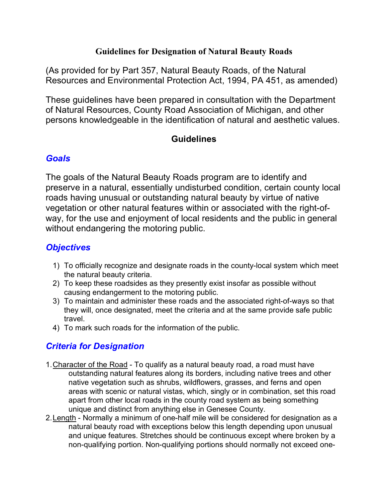#### **Guidelines for Designation of Natural Beauty Roads**

(As provided for by Part 357, Natural Beauty Roads, of the Natural Resources and Environmental Protection Act, 1994, PA 451, as amended)

These guidelines have been prepared in consultation with the Department of Natural Resources, County Road Association of Michigan, and other persons knowledgeable in the identification of natural and aesthetic values.

#### **Guidelines**

#### *Goals*

The goals of the Natural Beauty Roads program are to identify and preserve in a natural, essentially undisturbed condition, certain county local roads having unusual or outstanding natural beauty by virtue of native vegetation or other natural features within or associated with the right-ofway, for the use and enjoyment of local residents and the public in general without endangering the motoring public.

# *Objectives*

- 1) To officially recognize and designate roads in the county-local system which meet the natural beauty criteria.
- 2) To keep these roadsides as they presently exist insofar as possible without causing endangerment to the motoring public.
- 3) To maintain and administer these roads and the associated right-of-ways so that they will, once designated, meet the criteria and at the same provide safe public travel.
- 4) To mark such roads for the information of the public.

## *Criteria for Designation*

- 1.Character of the Road To qualify as a natural beauty road, a road must have outstanding natural features along its borders, including native trees and other native vegetation such as shrubs, wildflowers, grasses, and ferns and open areas with scenic or natural vistas, which, singly or in combination, set this road apart from other local roads in the county road system as being something unique and distinct from anything else in Genesee County.
- 2.Length Normally a minimum of one-half mile will be considered for designation as a natural beauty road with exceptions below this length depending upon unusual and unique features. Stretches should be continuous except where broken by a non-qualifying portion. Non-qualifying portions should normally not exceed one-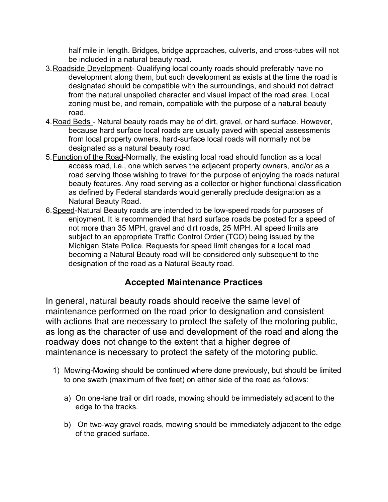half mile in length. Bridges, bridge approaches, culverts, and cross-tubes will not be included in a natural beauty road.

- 3.Roadside Development- Qualifying local county roads should preferably have no development along them, but such development as exists at the time the road is designated should be compatible with the surroundings, and should not detract from the natural unspoiled character and visual impact of the road area. Local zoning must be, and remain, compatible with the purpose of a natural beauty road.
- 4.Road Beds Natural beauty roads may be of dirt, gravel, or hard surface. However, because hard surface local roads are usually paved with special assessments from local property owners, hard-surface local roads will normally not be designated as a natural beauty road.
- 5.Function of the Road-Normally, the existing local road should function as a local access road, i.e., one which serves the adjacent property owners, and/or as a road serving those wishing to travel for the purpose of enjoying the roads natural beauty features. Any road serving as a collector or higher functional classification as defined by Federal standards would generally preclude designation as a Natural Beauty Road.
- 6.Speed-Natural Beauty roads are intended to be low-speed roads for purposes of enjoyment. It is recommended that hard surface roads be posted for a speed of not more than 35 MPH, gravel and dirt roads, 25 MPH. All speed limits are subject to an appropriate Traffic Control Order (TCO) being issued by the Michigan State Police. Requests for speed limit changes for a local road becoming a Natural Beauty road will be considered only subsequent to the designation of the road as a Natural Beauty road.

## **Accepted Maintenance Practices**

In general, natural beauty roads should receive the same level of maintenance performed on the road prior to designation and consistent with actions that are necessary to protect the safety of the motoring public, as long as the character of use and development of the road and along the roadway does not change to the extent that a higher degree of maintenance is necessary to protect the safety of the motoring public.

- 1) Mowing-Mowing should be continued where done previously, but should be limited to one swath (maximum of five feet) on either side of the road as follows:
	- a) On one-lane trail or dirt roads, mowing should be immediately adjacent to the edge to the tracks.
	- b) On two-way gravel roads, mowing should be immediately adjacent to the edge of the graded surface.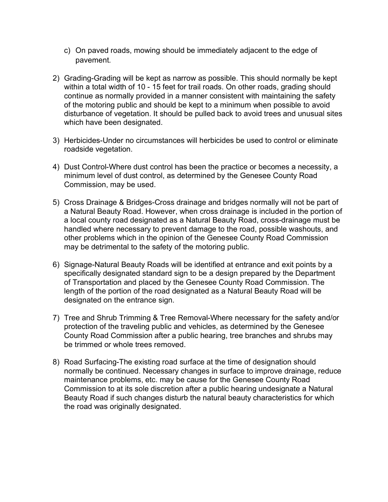- c) On paved roads, mowing should be immediately adjacent to the edge of pavement.
- 2) Grading-Grading will be kept as narrow as possible. This should normally be kept within a total width of 10 - 15 feet for trail roads. On other roads, grading should continue as normally provided in a manner consistent with maintaining the safety of the motoring public and should be kept to a minimum when possible to avoid disturbance of vegetation. It should be pulled back to avoid trees and unusual sites which have been designated.
- 3) Herbicides-Under no circumstances will herbicides be used to control or eliminate roadside vegetation.
- 4) Dust Control-Where dust control has been the practice or becomes a necessity, a minimum level of dust control, as determined by the Genesee County Road Commission, may be used.
- 5) Cross Drainage & Bridges-Cross drainage and bridges normally will not be part of a Natural Beauty Road. However, when cross drainage is included in the portion of a local county road designated as a Natural Beauty Road, cross-drainage must be handled where necessary to prevent damage to the road, possible washouts, and other problems which in the opinion of the Genesee County Road Commission may be detrimental to the safety of the motoring public.
- 6) Signage-Natural Beauty Roads will be identified at entrance and exit points by a specifically designated standard sign to be a design prepared by the Department of Transportation and placed by the Genesee County Road Commission. The length of the portion of the road designated as a Natural Beauty Road will be designated on the entrance sign.
- 7) Tree and Shrub Trimming & Tree Removal-Where necessary for the safety and/or protection of the traveling public and vehicles, as determined by the Genesee County Road Commission after a public hearing, tree branches and shrubs may be trimmed or whole trees removed.
- 8) Road Surfacing-The existing road surface at the time of designation should normally be continued. Necessary changes in surface to improve drainage, reduce maintenance problems, etc. may be cause for the Genesee County Road Commission to at its sole discretion after a public hearing undesignate a Natural Beauty Road if such changes disturb the natural beauty characteristics for which the road was originally designated.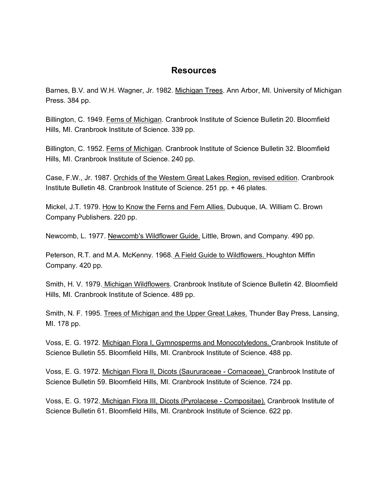#### **Resources**

Barnes, B.V. and W.H. Wagner, Jr. 1982. Michigan Trees. Ann Arbor, MI. University of Michigan Press. 384 pp.

Billington, C. 1949. Ferns of Michigan. Cranbrook Institute of Science Bulletin 20. Bloomfield Hills, MI. Cranbrook Institute of Science. 339 pp.

Billington, C. 1952. Ferns of Michigan. Cranbrook Institute of Science Bulletin 32. Bloomfield Hills, MI. Cranbrook Institute of Science. 240 pp.

Case, F.W., Jr. 1987. Orchids of the Western Great Lakes Region, revised edition. Cranbrook Institute Bulletin 48. Cranbrook Institute of Science. 251 pp. + 46 plates.

Mickel, J.T. 1979. How to Know the Ferns and Fern Allies. Dubuque, IA. William C. Brown Company Publishers. 220 pp.

Newcomb, L. 1977. Newcomb's Wildflower Guide. Little, Brown, and Company. 490 pp.

Peterson, R.T. and M.A. McKenny. 1968. A Field Guide to Wildflowers. Houghton Miffin Company. 420 pp.

Smith, H. V. 1979. Michigan Wildflowers. Cranbrook Institute of Science Bulletin 42. Bloomfield Hills, MI. Cranbrook Institute of Science. 489 pp.

Smith, N. F. 1995. Trees of Michigan and the Upper Great Lakes. Thunder Bay Press, Lansing, MI. 178 pp.

Voss, E. G. 1972. Michigan Flora I, Gymnosperms and Monocotyledons. Cranbrook Institute of Science Bulletin 55. Bloomfield Hills, MI. Cranbrook Institute of Science. 488 pp.

Voss, E. G. 1972. Michigan Flora II, Dicots (Saururaceae - Cornaceae). Cranbrook Institute of Science Bulletin 59. Bloomfield Hills, MI. Cranbrook Institute of Science. 724 pp.

Voss, E. G. 1972. Michigan Flora III, Dicots (Pyrolacese - Compositae). Cranbrook Institute of Science Bulletin 61. Bloomfield Hills, MI. Cranbrook Institute of Science. 622 pp.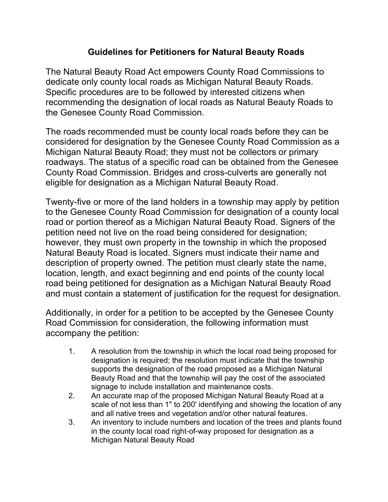### **Guidelines for Petitioners for Natural Beauty Roads**

The Natural Beauty Road Act empowers County Road Commissions to dedicate only county local roads as Michigan Natural Beauty Roads. Specific procedures are to be followed by interested citizens when recommending the designation of local roads as Natural Beauty Roads to the Genesee County Road Commission.

The roads recommended must be county local roads before they can be considered for designation by the Genesee County Road Commission as a Michigan Natural Beauty Road; they must not be collectors or primary roadways. The status of a specific road can be obtained from the Genesee County Road Commission. Bridges and cross-culverts are generally not eligible for designation as a Michigan Natural Beauty Road.

Twenty-five or more of the land holders in a township may apply by petition to the Genesee County Road Commission for designation of a county local road or portion thereof as a Michigan Natural Beauty Road. Signers of the petition need not live on the road being considered for designation; however, they must own property in the township in which the proposed Natural Beauty Road is located. Signers must indicate their name and description of property owned. The petition must clearly state the name, location, length, and exact beginning and end points of the county local road being petitioned for designation as a Michigan Natural Beauty Road and must contain a statement of justification for the request for designation.

Additionally, in order for a petition to be accepted by the Genesee County Road Commission for consideration, the following information must accompany the petition:

- 1. A resolution from the township in which the local road being proposed for designation is required; the resolution must indicate that the township supports the designation of the road proposed as a Michigan Natural Beauty Road and that the township will pay the cost of the associated signage to include installation and maintenance costs.
- 2. An accurate map of the proposed Michigan Natural Beauty Road at a scale of not less than 1" to 200' identifying and showing the location of any and all native trees and vegetation and/or other natural features.
- 3. An inventory to include numbers and location of the trees and plants found in the county local road right-of-way proposed for designation as a Michigan Natural Beauty Road